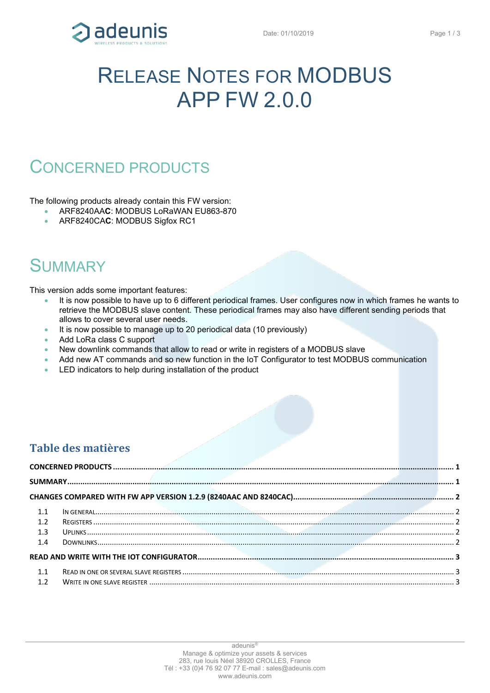

# RELEASE NOTES FOR MODBUS APP FW 2.0.0

### <span id="page-0-0"></span>CONCERNED PRODUCTS

The following products already contain this FW version:

- ARF8240AA**C**: MODBUS LoRaWAN EU863-870
- ARF8240CA**C**: MODBUS Sigfox RC1

### <span id="page-0-1"></span>**SUMMARY**

This version adds some important features:

- It is now possible to have up to 6 different periodical frames. User configures now in which frames he wants to retrieve the MODBUS slave content. These periodical frames may also have different sending periods that allows to cover several user needs.
- It is now possible to manage up to 20 periodical data (10 previously)
- Add LoRa class C support
- New downlink commands that allow to read or write in registers of a MODBUS slave
- Add new AT commands and so new function in the IoT Configurator to test MODBUS communication
- LED indicators to help during installation of the product

#### **Table des matières**

| 1.1 |  |  |  |
|-----|--|--|--|
| 1.2 |  |  |  |
| 1.3 |  |  |  |
| 1.4 |  |  |  |
|     |  |  |  |
| 1.1 |  |  |  |
| 1.2 |  |  |  |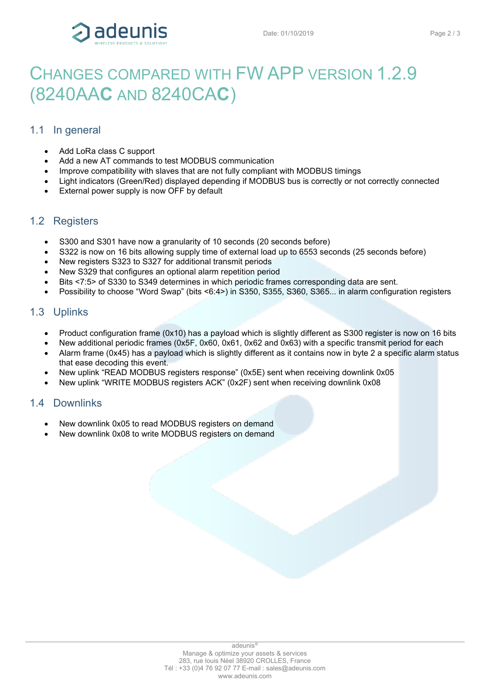

## <span id="page-1-0"></span>CHANGES COMPARED WITH FW APP VERSION 1.2.9 (8240AA**C** AND 8240CA**C**)

#### <span id="page-1-1"></span>1.1 In general

- Add LoRa class C support
- Add a new AT commands to test MODBUS communication
- Improve compatibility with slaves that are not fully compliant with MODBUS timings
- Light indicators (Green/Red) displayed depending if MODBUS bus is correctly or not correctly connected
- External power supply is now OFF by default

#### <span id="page-1-2"></span>1.2 Registers

- S300 and S301 have now a granularity of 10 seconds (20 seconds before)
- S322 is now on 16 bits allowing supply time of external load up to 6553 seconds (25 seconds before)
- New registers S323 to S327 for additional transmit periods
- New S329 that configures an optional alarm repetition period
- Bits <7:5> of S330 to S349 determines in which periodic frames corresponding data are sent.
- Possibility to choose "Word Swap" (bits <6:4>) in S350, S355, S360, S365... in alarm configuration registers

#### <span id="page-1-3"></span>1.3 Uplinks

- Product configuration frame (0x10) has a payload which is slightly different as S300 register is now on 16 bits
- New additional periodic frames (0x5F, 0x60, 0x61, 0x62 and 0x63) with a specific transmit period for each
- Alarm frame (0x45) has a payload which is slightly different as it contains now in byte 2 a specific alarm status that ease decoding this event.
- New uplink "READ MODBUS registers response" (0x5E) sent when receiving downlink 0x05
- New uplink "WRITE MODBUS registers ACK" (0x2F) sent when receiving downlink 0x08

#### <span id="page-1-4"></span>1.4 Downlinks

- New downlink 0x05 to read MODBUS registers on demand
- New downlink 0x08 to write MODBUS registers on demand